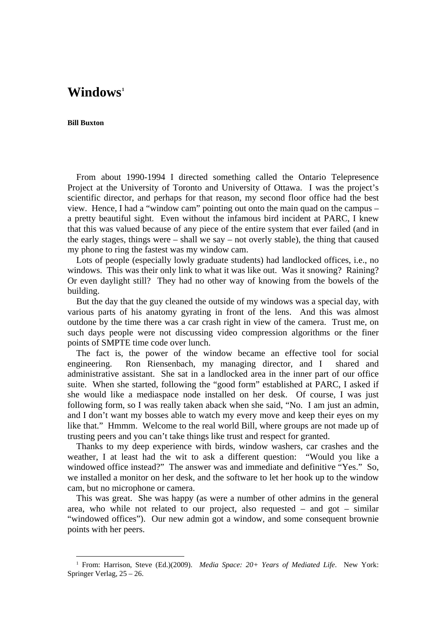## **Windows[1](#page-0-0)**

## **Bill Buxton**

l

From about 1990-1994 I directed something called the Ontario Telepresence Project at the University of Toronto and University of Ottawa. I was the project's scientific director, and perhaps for that reason, my second floor office had the best view. Hence, I had a "window cam" pointing out onto the main quad on the campus – a pretty beautiful sight. Even without the infamous bird incident at PARC, I knew that this was valued because of any piece of the entire system that ever failed (and in the early stages, things were – shall we say – not overly stable), the thing that caused my phone to ring the fastest was my window cam.

Lots of people (especially lowly graduate students) had landlocked offices, i.e., no windows. This was their only link to what it was like out. Was it snowing? Raining? Or even daylight still? They had no other way of knowing from the bowels of the building.

But the day that the guy cleaned the outside of my windows was a special day, with various parts of his anatomy gyrating in front of the lens. And this was almost outdone by the time there was a car crash right in view of the camera. Trust me, on such days people were not discussing video compression algorithms or the finer points of SMPTE time code over lunch.

The fact is, the power of the window became an effective tool for social engineering. Ron Riensenbach, my managing director, and I shared and administrative assistant. She sat in a landlocked area in the inner part of our office suite. When she started, following the "good form" established at PARC, I asked if she would like a mediaspace node installed on her desk. Of course, I was just following form, so I was really taken aback when she said, "No. I am just an admin, and I don't want my bosses able to watch my every move and keep their eyes on my like that." Hmmm. Welcome to the real world Bill, where groups are not made up of trusting peers and you can't take things like trust and respect for granted.

Thanks to my deep experience with birds, window washers, car crashes and the weather, I at least had the wit to ask a different question: "Would you like a windowed office instead?" The answer was and immediate and definitive "Yes." So, we installed a monitor on her desk, and the software to let her hook up to the window cam, but no microphone or camera.

This was great. She was happy (as were a number of other admins in the general area, who while not related to our project, also requested – and got – similar "windowed offices"). Our new admin got a window, and some consequent brownie points with her peers.

<span id="page-0-0"></span><sup>1</sup> From: Harrison, Steve (Ed.)(2009). *Media Space: 20+ Years of Mediated Life*. New York: Springer Verlag, 25 – 26.